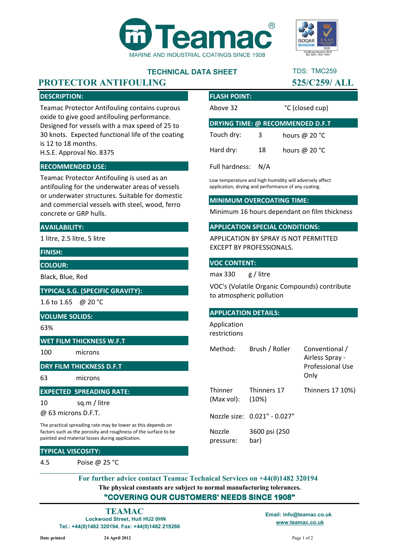



TDS: TMC259

# **TECHNICAL DATA SHEET**

# **PROTECTOR ANTIFOULING 525/C259/ ALL**

# **DESCRIPTION:**

Teamac Protector Antifouling contains cuprous oxide to give good antifouling performance. Designed for vessels with a max speed of 25 to 30 knots. Expected functional life of the coating is 12 to 18 months.

H.S.E. Approval No. 8375

## **RECOMMENDED USE:**

Teamac Protector Antifouling is used as an antifouling for the underwater areas of vessels or underwater structures. Suitable for domestic and commercial vessels with steel, wood, ferro concrete or GRP hulls.

#### **AVAILABILITY:**

1 litre, 2.5 litre, 5 litre

**FINISH:**

**COLOUR:**

Black, Blue, Red

**TYPICAL S.G. (SPECIFIC GRAVITY):**

1.6 to 1.65 @ 20 °C

#### **VOLUME SOLIDS:**

63%

**WET FILM THICKNESS W.F.T**

100 microns

# **DRY FILM THICKNESS D.F.T**

63 microns

### **EXPECTED SPREADING RATE:**

10 sq.m / litre

@ 63 microns D.F.T.

The practical spreading rate may be lower as this depends on factors such as the porosity and roughness of the surface to be painted and material losses during application.

#### **TYPICAL VISCOSITY:**

4.5 Poise @ 25 °C

|                                  |     | <i>SZSIVZSYI ALIL</i>   |  |  |
|----------------------------------|-----|-------------------------|--|--|
| <b>FLASH POINT:</b>              |     |                         |  |  |
| Above 32                         |     | °C (closed cup)         |  |  |
| DRYING TIME: @ RECOMMENDED D.F.T |     |                         |  |  |
| Touch dry:                       | 3   | hours @ 20 $^{\circ}$ C |  |  |
| Hard dry:                        | 18  | hours @ $20 °C$         |  |  |
| Full hardness:                   | N/A |                         |  |  |

Low temperature and high humidity will adversely affect application, drying and performance of any coating.

#### **MINIMUM OVERCOATING TIME:**

Minimum 16 hours dependant on film thickness

#### **APPLICATION SPECIAL CONDITIONS:**

APPLICATION BY SPRAY IS NOT PERMITTED EXCEPT BY PROFESSIONALS.

#### **VOC CONTENT:**

max 330 g / litre

VOC's (Volatile Organic Compounds) contribute to atmospheric pollution

#### **APPLICATION DETAILS:**

Application restrictions

| Method:                      | Brush / Roller               | Conventional /<br>Airless Spray -<br><b>Professional Use</b><br>Only |
|------------------------------|------------------------------|----------------------------------------------------------------------|
| <b>Thinner</b><br>(Max vol): | Thinners 17<br>(10%)         | Thinners 17 10%)                                                     |
|                              | Nozzle size: 0.021" - 0.027" |                                                                      |
| Nozzle<br>pressure:          | 3600 psi (250<br>bar)        |                                                                      |

**The physical constants are subject to normal manufacturing tolerances. "COVERING OUR CUSTOMERS' NEEDS SINCE 1908" For further advice contact Teamac Technical Services on +44(0)1482 320194**

**Lockwood Street, Hull HU2 0HN Tel.: +44(0)1482 320194. Fax: +44(0)1482 219266 TEAMAC Email: info@teamac.co.uk**

**www.teamac.co.uk**